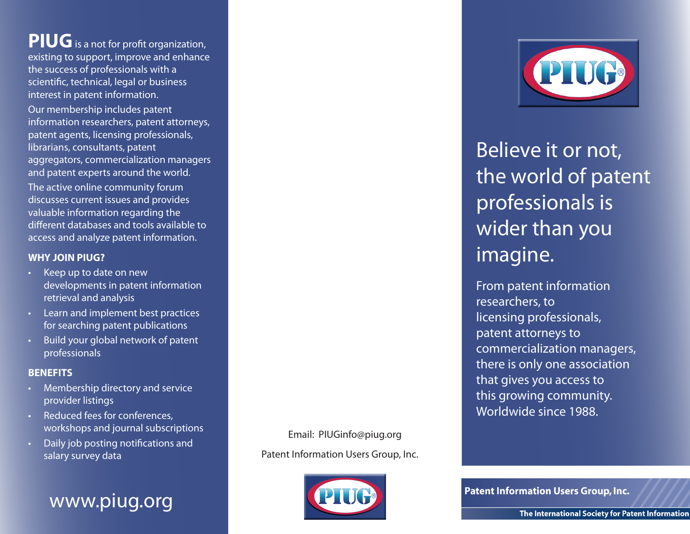## **PIUG** is a not for profit organization, existing to support, improve and enhance the success of professionals with a scientific, technical, legal or business interest in patent information.

Our membership includes patent information researchers, patent attorneys, patent agents, licensing professionals, librarians, consultants, patent aggregators, commercialization managers and patent experts around the world. The active online community forum discusses current issues and provides valuable information regarding the different databases and tools available to access and analyze patent information.

## **WHY JOIN PIUG?**

- Keep up to date on new developments in patent information retrieval and analysis
- • Learn and implement best practices for searching patent publications
- Build your global network of patent professionals

## **BENEFITS**

- Membership directory and service provider listings
- Reduced fees for conferences, workshops and journal subscriptions
- Daily job posting notifications and salary survey data



## Email: PIUGinfo@piug.org

Patent Information Users Group, Inc.





Believe it or not, the world of patent professionals is wider than you imagine.

From patent information researchers, to licensing professionals, patent attorneys to commercialization managers, there is only one association that gives you access to this growing community. Worldwide since 1988.

**Patent Information Users Group, Inc.**